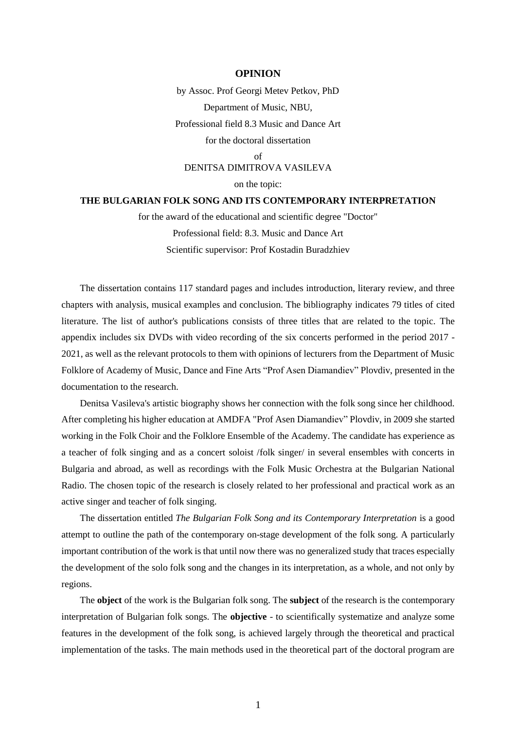## **OPINION**

by Assoc. Prof Georgi Metev Petkov, PhD Department of Music, NBU, Professional field 8.3 Music and Dance Art for the doctoral dissertation of DENITSA DIMITROVA VASILEVA

on the topic:

## **THE BULGARIAN FOLK SONG AND ITS CONTEMPORARY INTERPRETATION**

for the award of the educational and scientific degree "Doctor" Professional field: 8.3. Music and Dance Art Scientific supervisor: Prof Kostadin Buradzhiev

The dissertation contains 117 standard pages and includes introduction, literary review, and three chapters with analysis, musical examples and conclusion. The bibliography indicates 79 titles of cited literature. The list of author's publications consists of three titles that are related to the topic. The appendix includes six DVDs with video recording of the six concerts performed in the period 2017 - 2021, as well as the relevant protocols to them with opinions of lecturers from the Department of Music Folklore of Academy of Music, Dance and Fine Arts "Prof Asen Diamandiev" Plovdiv, presented in the documentation to the research.

Denitsa Vasileva's artistic biography shows her connection with the folk song since her childhood. After completing his higher education at AMDFA "Prof Asen Diamandiev" Plovdiv, in 2009 she started working in the Folk Choir and the Folklore Ensemble of the Academy. The candidate has experience as a teacher of folk singing and as a concert soloist /folk singer/ in several ensembles with concerts in Bulgaria and abroad, as well as recordings with the Folk Music Orchestra at the Bulgarian National Radio. The chosen topic of the research is closely related to her professional and practical work as an active singer and teacher of folk singing.

The dissertation entitled *The Bulgarian Folk Song and its Contemporary Interpretation* is a good attempt to outline the path of the contemporary on-stage development of the folk song. A particularly important contribution of the work is that until now there was no generalized study that traces especially the development of the solo folk song and the changes in its interpretation, as a whole, and not only by regions.

The **object** of the work is the Bulgarian folk song. The **subject** of the research is the contemporary interpretation of Bulgarian folk songs. The **objective** - to scientifically systematize and analyze some features in the development of the folk song, is achieved largely through the theoretical and practical implementation of the tasks. The main methods used in the theoretical part of the doctoral program are